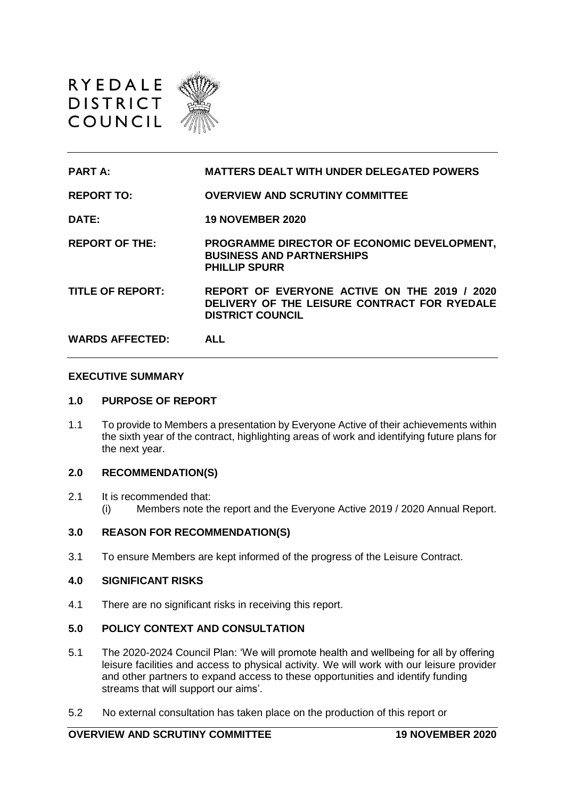



### **EXECUTIVE SUMMARY**

## **1.0 PURPOSE OF REPORT**

1.1 To provide to Members a presentation by Everyone Active of their achievements within the sixth year of the contract, highlighting areas of work and identifying future plans for the next year.

# **2.0 RECOMMENDATION(S)**

2.1 It is recommended that: (i) Members note the report and the Everyone Active 2019 / 2020 Annual Report.

### **3.0 REASON FOR RECOMMENDATION(S)**

3.1 To ensure Members are kept informed of the progress of the Leisure Contract.

### **4.0 SIGNIFICANT RISKS**

4.1 There are no significant risks in receiving this report.

# **5.0 POLICY CONTEXT AND CONSULTATION**

- 5.1 The 2020-2024 Council Plan: 'We will promote health and wellbeing for all by offering leisure facilities and access to physical activity. We will work with our leisure provider and other partners to expand access to these opportunities and identify funding streams that will support our aims'.
- 5.2 No external consultation has taken place on the production of this report or

# **OVERVIEW AND SCRUTINY COMMITTEE 19 NOVEMBER 2020**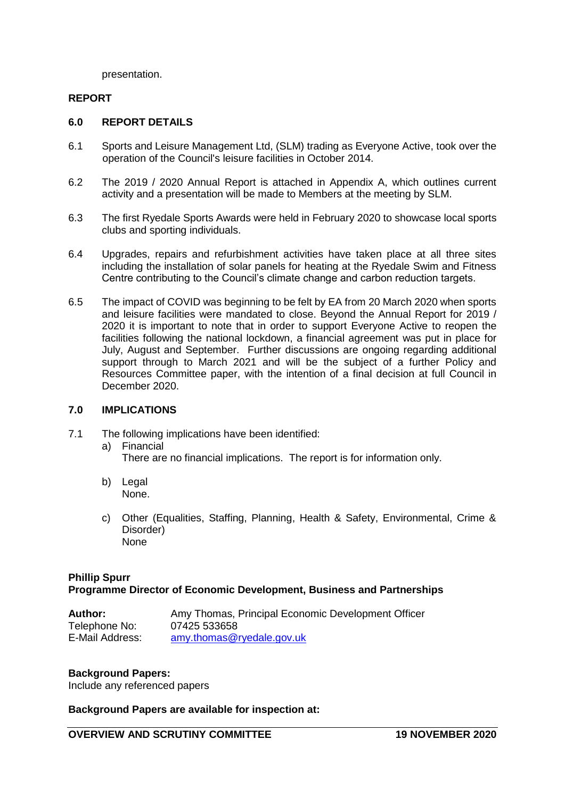presentation.

# **REPORT**

## **6.0 REPORT DETAILS**

- 6.1 Sports and Leisure Management Ltd, (SLM) trading as Everyone Active, took over the operation of the Council's leisure facilities in October 2014.
- 6.2 The 2019 / 2020 Annual Report is attached in Appendix A, which outlines current activity and a presentation will be made to Members at the meeting by SLM.
- 6.3 The first Ryedale Sports Awards were held in February 2020 to showcase local sports clubs and sporting individuals.
- 6.4 Upgrades, repairs and refurbishment activities have taken place at all three sites including the installation of solar panels for heating at the Ryedale Swim and Fitness Centre contributing to the Council's climate change and carbon reduction targets.
- 6.5 The impact of COVID was beginning to be felt by EA from 20 March 2020 when sports and leisure facilities were mandated to close. Beyond the Annual Report for 2019 / 2020 it is important to note that in order to support Everyone Active to reopen the facilities following the national lockdown, a financial agreement was put in place for July, August and September. Further discussions are ongoing regarding additional support through to March 2021 and will be the subject of a further Policy and Resources Committee paper, with the intention of a final decision at full Council in December 2020.

### **7.0 IMPLICATIONS**

- 7.1 The following implications have been identified:
	- a) Financial There are no financial implications. The report is for information only.
	- b) Legal None.
	- c) Other (Equalities, Staffing, Planning, Health & Safety, Environmental, Crime & Disorder) None

# **Phillip Spurr Programme Director of Economic Development, Business and Partnerships**

| <b>Author:</b>  | Amy Thomas, Principal Economic Development Officer |
|-----------------|----------------------------------------------------|
| Telephone No:   | 07425 533658                                       |
| E-Mail Address: | $amy.$ thomas@ryedale.gov.uk                       |

### **Background Papers:**

Include any referenced papers

## **Background Papers are available for inspection at:**